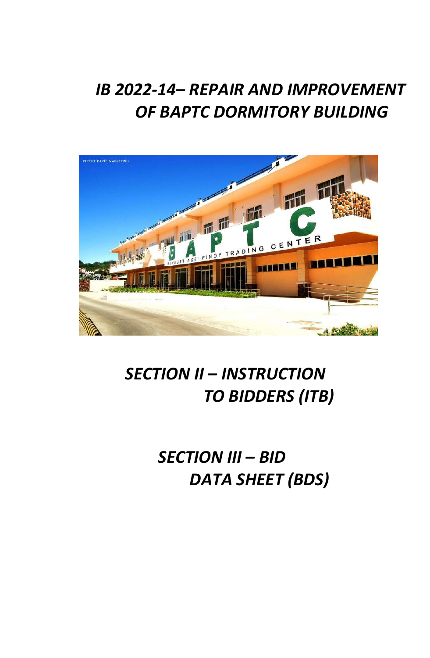# *IB 2022-14– REPAIR AND IMPROVEMENT OF BAPTC DORMITORY BUILDING*



# *SECTION II – INSTRUCTION TO BIDDERS (ITB)*

*SECTION III – BID DATA SHEET (BDS)*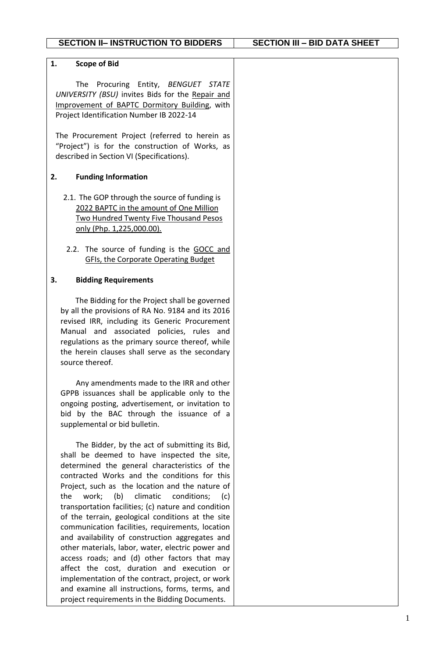| 1.<br><b>Scope of Bid</b>                                                                                                                                                                                                                                                                                                                                                                                                                                                                                                                                                                                                                                                                                                                                                                                                             |  |
|---------------------------------------------------------------------------------------------------------------------------------------------------------------------------------------------------------------------------------------------------------------------------------------------------------------------------------------------------------------------------------------------------------------------------------------------------------------------------------------------------------------------------------------------------------------------------------------------------------------------------------------------------------------------------------------------------------------------------------------------------------------------------------------------------------------------------------------|--|
| Procuring Entity, BENGUET STATE<br>The<br>UNIVERSITY (BSU) invites Bids for the Repair and<br>Improvement of BAPTC Dormitory Building, with<br>Project Identification Number IB 2022-14<br>The Procurement Project (referred to herein as                                                                                                                                                                                                                                                                                                                                                                                                                                                                                                                                                                                             |  |
| "Project") is for the construction of Works, as<br>described in Section VI (Specifications).                                                                                                                                                                                                                                                                                                                                                                                                                                                                                                                                                                                                                                                                                                                                          |  |
| <b>Funding Information</b><br>2.                                                                                                                                                                                                                                                                                                                                                                                                                                                                                                                                                                                                                                                                                                                                                                                                      |  |
| 2.1. The GOP through the source of funding is<br>2022 BAPTC in the amount of One Million<br><b>Two Hundred Twenty Five Thousand Pesos</b><br>only (Php. 1,225,000.00).                                                                                                                                                                                                                                                                                                                                                                                                                                                                                                                                                                                                                                                                |  |
| 2.2. The source of funding is the GOCC and<br><b>GFIs, the Corporate Operating Budget</b>                                                                                                                                                                                                                                                                                                                                                                                                                                                                                                                                                                                                                                                                                                                                             |  |
| 3.<br><b>Bidding Requirements</b>                                                                                                                                                                                                                                                                                                                                                                                                                                                                                                                                                                                                                                                                                                                                                                                                     |  |
| The Bidding for the Project shall be governed<br>by all the provisions of RA No. 9184 and its 2016<br>revised IRR, including its Generic Procurement<br>Manual and associated policies, rules and<br>regulations as the primary source thereof, while<br>the herein clauses shall serve as the secondary<br>source thereof.                                                                                                                                                                                                                                                                                                                                                                                                                                                                                                           |  |
| Any amendments made to the IRR and other<br>GPPB issuances shall be applicable only to the<br>ongoing posting, advertisement, or invitation to<br>bid by the BAC through the issuance of a<br>supplemental or bid bulletin.                                                                                                                                                                                                                                                                                                                                                                                                                                                                                                                                                                                                           |  |
| The Bidder, by the act of submitting its Bid,<br>shall be deemed to have inspected the site,<br>determined the general characteristics of the<br>contracted Works and the conditions for this<br>Project, such as the location and the nature of<br>(b)<br>the<br>work;<br>climatic<br>conditions; (c)<br>transportation facilities; (c) nature and condition<br>of the terrain, geological conditions at the site<br>communication facilities, requirements, location<br>and availability of construction aggregates and<br>other materials, labor, water, electric power and<br>access roads; and (d) other factors that may<br>affect the cost, duration and execution or<br>implementation of the contract, project, or work<br>and examine all instructions, forms, terms, and<br>project requirements in the Bidding Documents. |  |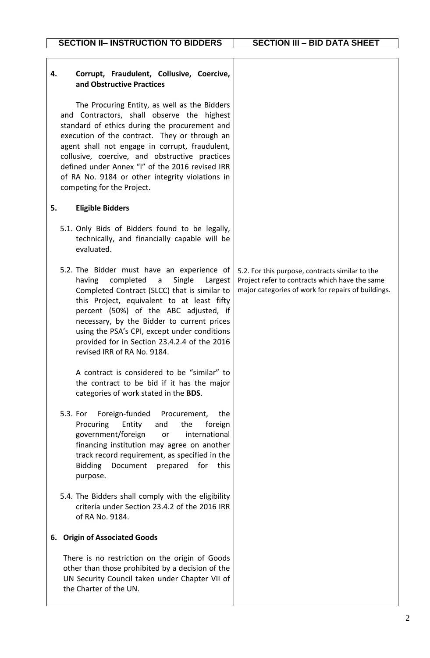| Corrupt, Fraudulent, Collusive, Coercive,<br>4.<br>and Obstructive Practices                                                                                                                                                                                                                                                                                                                                                                             |                                                                                                                                                         |
|----------------------------------------------------------------------------------------------------------------------------------------------------------------------------------------------------------------------------------------------------------------------------------------------------------------------------------------------------------------------------------------------------------------------------------------------------------|---------------------------------------------------------------------------------------------------------------------------------------------------------|
| The Procuring Entity, as well as the Bidders<br>and Contractors, shall observe the highest<br>standard of ethics during the procurement and<br>execution of the contract. They or through an<br>agent shall not engage in corrupt, fraudulent,<br>collusive, coercive, and obstructive practices<br>defined under Annex "I" of the 2016 revised IRR<br>of RA No. 9184 or other integrity violations in<br>competing for the Project.                     |                                                                                                                                                         |
| <b>Eligible Bidders</b><br>5.                                                                                                                                                                                                                                                                                                                                                                                                                            |                                                                                                                                                         |
| 5.1. Only Bids of Bidders found to be legally,<br>technically, and financially capable will be<br>evaluated.                                                                                                                                                                                                                                                                                                                                             |                                                                                                                                                         |
| 5.2. The Bidder must have an experience of<br>having completed a<br>Single<br>Largest<br>Completed Contract (SLCC) that is similar to<br>this Project, equivalent to at least fifty<br>percent (50%) of the ABC adjusted, if<br>necessary, by the Bidder to current prices<br>using the PSA's CPI, except under conditions<br>provided for in Section 23.4.2.4 of the 2016<br>revised IRR of RA No. 9184.<br>A contract is considered to be "similar" to | 5.2. For this purpose, contracts similar to the<br>Project refer to contracts which have the same<br>major categories of work for repairs of buildings. |
| the contract to be bid if it has the major<br>categories of work stated in the BDS.                                                                                                                                                                                                                                                                                                                                                                      |                                                                                                                                                         |
| Foreign-funded<br>5.3. For<br>Procurement,<br>the<br>Procuring<br>Entity<br>the<br>foreign<br>and<br>government/foreign<br>international<br>or<br>financing institution may agree on another<br>track record requirement, as specified in the<br><b>Bidding</b><br>Document prepared for<br>this<br>purpose.                                                                                                                                             |                                                                                                                                                         |
| 5.4. The Bidders shall comply with the eligibility<br>criteria under Section 23.4.2 of the 2016 IRR<br>of RA No. 9184.                                                                                                                                                                                                                                                                                                                                   |                                                                                                                                                         |
| 6. Origin of Associated Goods                                                                                                                                                                                                                                                                                                                                                                                                                            |                                                                                                                                                         |
| There is no restriction on the origin of Goods<br>other than those prohibited by a decision of the<br>UN Security Council taken under Chapter VII of<br>the Charter of the UN.                                                                                                                                                                                                                                                                           |                                                                                                                                                         |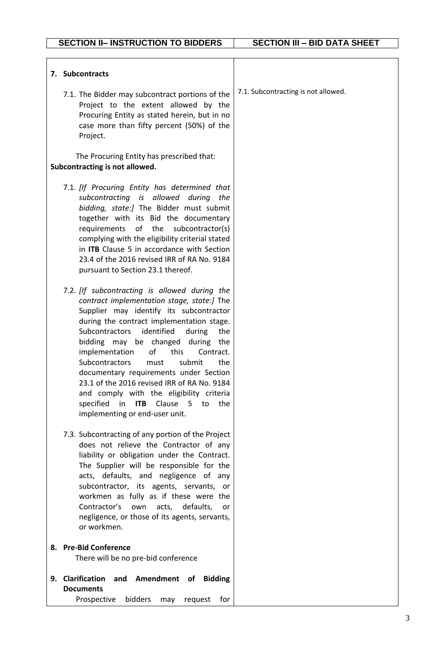| 7. Subcontracts                                                                                                                                                                                                                                                                                                                                                                                                                                                                                                                                                                              |                                     |
|----------------------------------------------------------------------------------------------------------------------------------------------------------------------------------------------------------------------------------------------------------------------------------------------------------------------------------------------------------------------------------------------------------------------------------------------------------------------------------------------------------------------------------------------------------------------------------------------|-------------------------------------|
| 7.1. The Bidder may subcontract portions of the<br>Project to the extent allowed by the<br>Procuring Entity as stated herein, but in no<br>case more than fifty percent (50%) of the<br>Project.                                                                                                                                                                                                                                                                                                                                                                                             | 7.1. Subcontracting is not allowed. |
| The Procuring Entity has prescribed that:<br>Subcontracting is not allowed.                                                                                                                                                                                                                                                                                                                                                                                                                                                                                                                  |                                     |
| 7.1. [If Procuring Entity has determined that<br>subcontracting is allowed during the<br>bidding, state:] The Bidder must submit<br>together with its Bid the documentary<br>requirements<br>of the<br>subcontractor(s)<br>complying with the eligibility criterial stated<br>in ITB Clause 5 in accordance with Section<br>23.4 of the 2016 revised IRR of RA No. 9184<br>pursuant to Section 23.1 thereof.                                                                                                                                                                                 |                                     |
| 7.2. [If subcontracting is allowed during the<br>contract implementation stage, state:] The<br>Supplier may identify its subcontractor<br>during the contract implementation stage.<br>identified<br><b>Subcontractors</b><br>during<br>the<br>bidding may be changed during<br>the<br>implementation<br>of<br>this<br>Contract.<br>Subcontractors<br>submit<br>must<br>the<br>documentary requirements under Section<br>23.1 of the 2016 revised IRR of RA No. 9184<br>and comply with the eligibility criteria<br>specified in ITB Clause 5<br>to<br>the<br>implementing or end-user unit. |                                     |
| 7.3. Subcontracting of any portion of the Project<br>does not relieve the Contractor of any<br>liability or obligation under the Contract.<br>The Supplier will be responsible for the<br>acts, defaults, and negligence of any<br>subcontractor, its agents, servants, or<br>workmen as fully as if these were the<br>Contractor's<br>own<br>acts,<br>defaults,<br>or<br>negligence, or those of its agents, servants,<br>or workmen.                                                                                                                                                       |                                     |
| 8. Pre-Bid Conference<br>There will be no pre-bid conference                                                                                                                                                                                                                                                                                                                                                                                                                                                                                                                                 |                                     |
| <b>Clarification</b><br>and Amendment of Bidding<br>9.                                                                                                                                                                                                                                                                                                                                                                                                                                                                                                                                       |                                     |
| <b>Documents</b>                                                                                                                                                                                                                                                                                                                                                                                                                                                                                                                                                                             |                                     |
| bidders<br>Prospective<br>request<br>for<br>may                                                                                                                                                                                                                                                                                                                                                                                                                                                                                                                                              |                                     |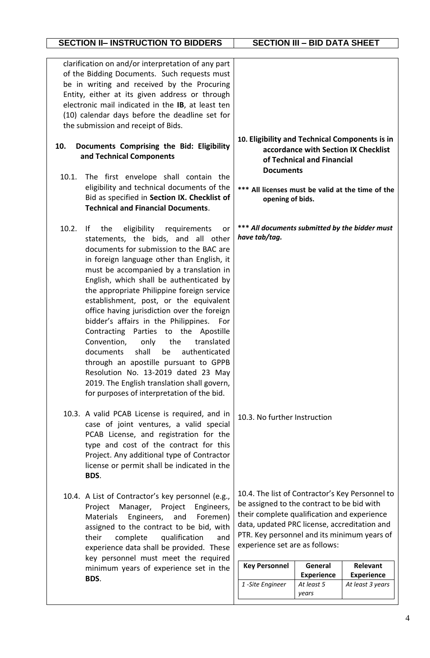| <b>SECTION II- INSTRUCTION TO BIDDERS</b>                                                                                                                                                                                                                                                                                                                                                                                                                                                                                                                                                                                                                                                                                                                            | <b>SECTION III - BID DATA SHEET</b>                                                                                                                                                                                                                                                                   |                              |                                               |
|----------------------------------------------------------------------------------------------------------------------------------------------------------------------------------------------------------------------------------------------------------------------------------------------------------------------------------------------------------------------------------------------------------------------------------------------------------------------------------------------------------------------------------------------------------------------------------------------------------------------------------------------------------------------------------------------------------------------------------------------------------------------|-------------------------------------------------------------------------------------------------------------------------------------------------------------------------------------------------------------------------------------------------------------------------------------------------------|------------------------------|-----------------------------------------------|
| clarification on and/or interpretation of any part<br>of the Bidding Documents. Such requests must<br>be in writing and received by the Procuring<br>Entity, either at its given address or through<br>electronic mail indicated in the IB, at least ten<br>(10) calendar days before the deadline set for<br>the submission and receipt of Bids.                                                                                                                                                                                                                                                                                                                                                                                                                    |                                                                                                                                                                                                                                                                                                       |                              |                                               |
| Documents Comprising the Bid: Eligibility<br>10.<br>and Technical Components<br>10.1.                                                                                                                                                                                                                                                                                                                                                                                                                                                                                                                                                                                                                                                                                | 10. Eligibility and Technical Components is in<br><b>Documents</b>                                                                                                                                                                                                                                    | of Technical and Financial   | accordance with Section IX Checklist          |
| The first envelope shall contain the<br>eligibility and technical documents of the<br>Bid as specified in Section IX. Checklist of<br><b>Technical and Financial Documents.</b>                                                                                                                                                                                                                                                                                                                                                                                                                                                                                                                                                                                      | ***<br>opening of bids.                                                                                                                                                                                                                                                                               |                              | All licenses must be valid at the time of the |
| 10.2.<br>eligibility requirements<br>the<br>If.<br>or<br>statements, the bids, and all other<br>documents for submission to the BAC are<br>in foreign language other than English, it<br>must be accompanied by a translation in<br>English, which shall be authenticated by<br>the appropriate Philippine foreign service<br>establishment, post, or the equivalent<br>office having jurisdiction over the foreign<br>bidder's affairs in the Philippines. For<br>Contracting Parties to the Apostille<br>Convention,<br>the<br>translated<br>only<br>documents shall be authenticated<br>through an apostille pursuant to GPPB<br>Resolution No. 13-2019 dated 23 May<br>2019. The English translation shall govern,<br>for purposes of interpretation of the bid. | *** All documents submitted by the bidder must<br>have tab/tag.                                                                                                                                                                                                                                       |                              |                                               |
| 10.3. A valid PCAB License is required, and in<br>case of joint ventures, a valid special<br>PCAB License, and registration for the<br>type and cost of the contract for this<br>Project. Any additional type of Contractor<br>license or permit shall be indicated in the<br>BDS.                                                                                                                                                                                                                                                                                                                                                                                                                                                                                   | 10.3. No further Instruction                                                                                                                                                                                                                                                                          |                              |                                               |
| 10.4. A List of Contractor's key personnel (e.g.,<br>Manager,<br>Project<br>Engineers,<br>Project<br>Foremen)<br><b>Materials</b><br>Engineers,<br>and<br>assigned to the contract to be bid, with<br>their<br>complete<br>qualification<br>and<br>experience data shall be provided. These<br>key personnel must meet the required<br>minimum years of experience set in the<br>BDS.                                                                                                                                                                                                                                                                                                                                                                                | 10.4. The list of Contractor's Key Personnel to<br>be assigned to the contract to be bid with<br>their complete qualification and experience<br>data, updated PRC license, accreditation and<br>PTR. Key personnel and its minimum years of<br>experience set are as follows:<br><b>Key Personnel</b> | General<br><b>Experience</b> | Relevant<br><b>Experience</b>                 |
|                                                                                                                                                                                                                                                                                                                                                                                                                                                                                                                                                                                                                                                                                                                                                                      | 1-Site Engineer                                                                                                                                                                                                                                                                                       | At least 5<br>years          | At least 3 years                              |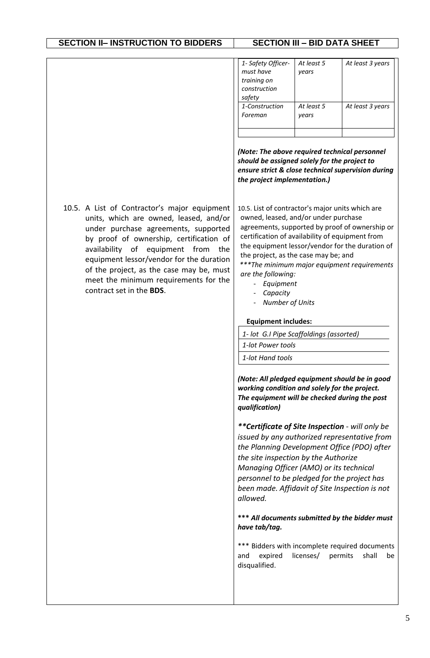| 1- Safety Officer- | At least 5 | At least 3 years |
|--------------------|------------|------------------|
| must have          | vears      |                  |
| training on        |            |                  |
| construction       |            |                  |
| safety             |            |                  |
| 1-Construction     | At least 5 | At least 3 years |
| Foreman            | vears      |                  |
|                    |            |                  |
|                    |            |                  |

*(Note: The above required technical personnel should be assigned solely for the project to ensure strict & close technical supervision during the project implementation.)*

10.5. A List of Contractor's major equipment units, which are owned, leased, and/or under purchase agreements, supported by proof of ownership, certification of availability of equipment from the equipment lessor/vendor for the duration of the project, as the case may be, must meet the minimum requirements for the contract set in the **BDS**.

10.5. List of contractor's major units which are owned, leased, and/or under purchase agreements, supported by proof of ownership or certification of availability of equipment from the equipment lessor/vendor for the duration of the project, as the case may be; and *\*\*\*The minimum major equipment requirements are the following:*

- *Equipment*
- *Capacity*
- *Number of Units*

### **Equipment includes:**

*1- lot G.I Pipe Scaffoldings (assorted)*

*1-lot Power tools*

*1-lot Hand tools*

*(Note: All pledged equipment should be in good working condition and solely for the project. The equipment will be checked during the post qualification)* 

*\*\*Certificate of Site Inspection - will only be issued by any authorized representative from the Planning Development Office (PDO) after the site inspection by the Authorize Managing Officer (AMO) or its technical personnel to be pledged for the project has been made. Affidavit of Site Inspection is not allowed.*

**\*\*\*** *All documents submitted by the bidder must have tab/tag.* 

\*\*\* Bidders with incomplete required documents and expired licenses/ permits shall be disqualified.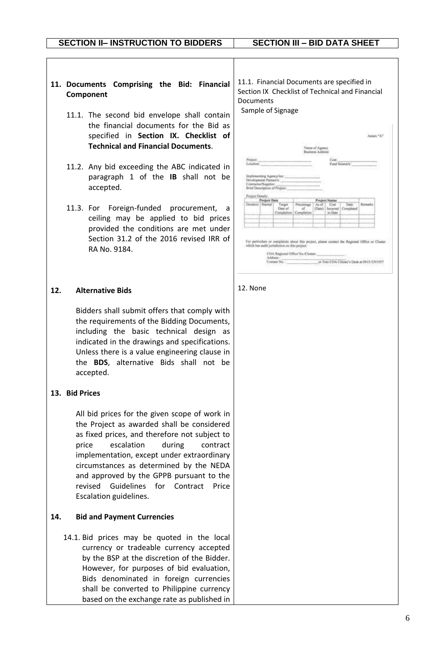- **11. Documents Comprising the Bid: Financial Component**
	- 11.1. The second bid envelope shall contain the financial documents for the Bid as specified in **Section IX. Checklist of Technical and Financial Documents**.
	- 11.2. Any bid exceeding the ABC indicated in paragraph 1 of the **IB** shall not be accepted.
	- 11.3. For Foreign-funded procurement, a ceiling may be applied to bid prices provided the conditions are met under Section 31.2 of the 2016 revised IRR of RA No. 9184.

### **12. Alternative Bids**

Bidders shall submit offers that comply with the requirements of the Bidding Documents, including the basic technical design as indicated in the drawings and specifications. Unless there is a value engineering clause in the **BDS**, alternative Bids shall not be accepted.

### **13. Bid Prices**

All bid prices for the given scope of work in the Project as awarded shall be considered as fixed prices, and therefore not subject to price escalation during contract implementation, except under extraordinary circumstances as determined by the NEDA and approved by the GPPB pursuant to the revised Guidelines for Contract Price Escalation guidelines.

### **14. Bid and Payment Currencies**

14.1. Bid prices may be quoted in the local currency or tradeable currency accepted by the BSP at the discretion of the Bidder. However, for purposes of bid evaluation, Bids denominated in foreign currencies shall be converted to Philippine currency based on the exchange rate as published in

11.1. Financial Documents are specified in Section IX Checklist of Technical and Financial Documents

Sample of Signage

| Project:<br>Location: |                                               |                                                           |                                             |                  | Cuit:                        | Fund Source/s'            |         |
|-----------------------|-----------------------------------------------|-----------------------------------------------------------|---------------------------------------------|------------------|------------------------------|---------------------------|---------|
| Project Details:      | Development Partner's:<br>Contractor/Supplier | Implementing Agency/lex:<br>Brief Description of Project: |                                             |                  |                              |                           |         |
|                       | <b>Project Data</b>                           |                                                           |                                             |                  | <b>Project Status</b>        |                           |         |
|                       | Doration 1 Started                            | Timpet<br>· Date of                                       | Procentage<br>йf<br>Completion   Completion | Au of<br>(Date): | Cost.<br>Incorred<br>to Date | <b>Thete</b><br>Completed | Remarks |
|                       |                                               |                                                           |                                             |                  |                              |                           |         |

#### 12. None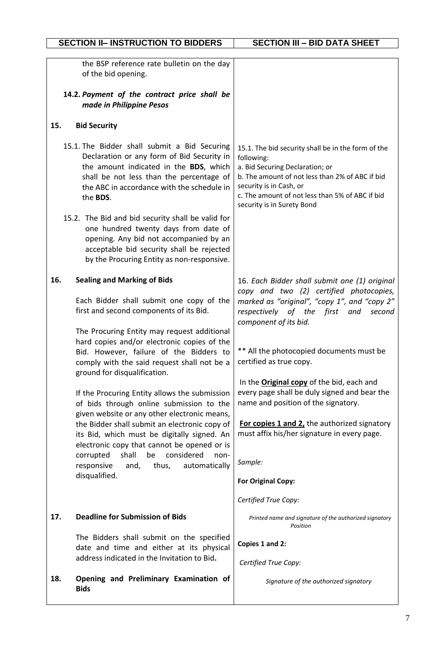|     | <b>SECTION II- INSTRUCTION TO BIDDERS</b>                                                                                                                                                                                                                                                                                               | <b>SECTION III - BID DATA SHEET</b>                                                                                                                                                                                                                                |
|-----|-----------------------------------------------------------------------------------------------------------------------------------------------------------------------------------------------------------------------------------------------------------------------------------------------------------------------------------------|--------------------------------------------------------------------------------------------------------------------------------------------------------------------------------------------------------------------------------------------------------------------|
|     | the BSP reference rate bulletin on the day<br>of the bid opening.<br>14.2. Payment of the contract price shall be<br>made in Philippine Pesos                                                                                                                                                                                           |                                                                                                                                                                                                                                                                    |
|     |                                                                                                                                                                                                                                                                                                                                         |                                                                                                                                                                                                                                                                    |
| 15. | <b>Bid Security</b>                                                                                                                                                                                                                                                                                                                     |                                                                                                                                                                                                                                                                    |
|     | 15.1. The Bidder shall submit a Bid Securing<br>Declaration or any form of Bid Security in<br>the amount indicated in the BDS, which<br>shall be not less than the percentage of<br>the ABC in accordance with the schedule in<br>the BDS.<br>15.2. The Bid and bid security shall be valid for<br>one hundred twenty days from date of | 15.1. The bid security shall be in the form of the<br>following:<br>a. Bid Securing Declaration; or<br>b. The amount of not less than 2% of ABC if bid<br>security is in Cash, or<br>c. The amount of not less than 5% of ABC if bid<br>security is in Surety Bond |
|     | opening. Any bid not accompanied by an<br>acceptable bid security shall be rejected<br>by the Procuring Entity as non-responsive.                                                                                                                                                                                                       |                                                                                                                                                                                                                                                                    |
| 16. | <b>Sealing and Marking of Bids</b><br>Each Bidder shall submit one copy of the<br>first and second components of its Bid.                                                                                                                                                                                                               | 16. Each Bidder shall submit one (1) original<br>copy and two (2) certified photocopies,<br>marked as "original", "copy 1", and "copy 2"<br>respectively of the first<br>and<br>second<br>component of its bid.                                                    |
|     | The Procuring Entity may request additional<br>hard copies and/or electronic copies of the<br>Bid. However, failure of the Bidders to<br>comply with the said request shall not be a<br>ground for disqualification.                                                                                                                    | ** All the photocopied documents must be<br>certified as true copy.                                                                                                                                                                                                |
|     | If the Procuring Entity allows the submission<br>of bids through online submission to the<br>given website or any other electronic means,                                                                                                                                                                                               | In the <b>Original copy</b> of the bid, each and<br>every page shall be duly signed and bear the<br>name and position of the signatory.                                                                                                                            |
|     | the Bidder shall submit an electronic copy of<br>its Bid, which must be digitally signed. An<br>electronic copy that cannot be opened or is                                                                                                                                                                                             | For copies 1 and 2, the authorized signatory<br>must affix his/her signature in every page.                                                                                                                                                                        |
|     | shall<br>be<br>considered<br>corrupted<br>non-<br>automatically<br>responsive<br>and, thus,                                                                                                                                                                                                                                             | Sample:                                                                                                                                                                                                                                                            |
|     | disqualified.                                                                                                                                                                                                                                                                                                                           | <b>For Original Copy:</b>                                                                                                                                                                                                                                          |
|     |                                                                                                                                                                                                                                                                                                                                         | Certified True Copy:                                                                                                                                                                                                                                               |
| 17. | <b>Deadline for Submission of Bids</b>                                                                                                                                                                                                                                                                                                  | Printed name and signature of the authorized signatory<br>Position                                                                                                                                                                                                 |
|     | The Bidders shall submit on the specified<br>date and time and either at its physical<br>address indicated in the Invitation to Bid.                                                                                                                                                                                                    | Copies 1 and 2:<br>Certified True Copy:                                                                                                                                                                                                                            |
| 18. | Opening and Preliminary Examination of<br><b>Bids</b>                                                                                                                                                                                                                                                                                   | Signature of the authorized signatory                                                                                                                                                                                                                              |
|     |                                                                                                                                                                                                                                                                                                                                         |                                                                                                                                                                                                                                                                    |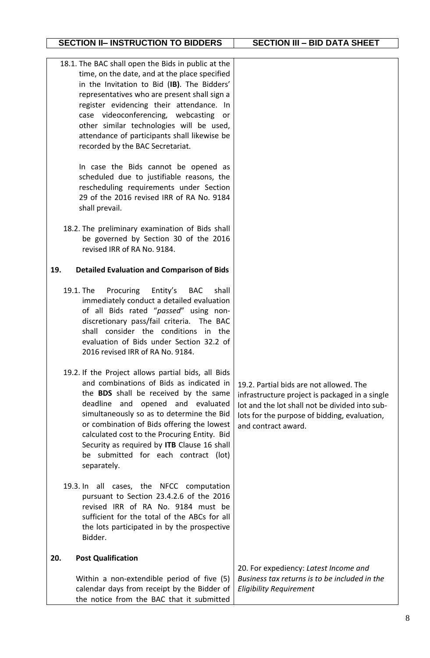## **SECTION II– INSTRUCTION TO BIDDERS SECTION III – BID DATA SHEET**

|     | 18.1. The BAC shall open the Bids in public at the<br>time, on the date, and at the place specified<br>in the Invitation to Bid (IB). The Bidders'<br>representatives who are present shall sign a<br>register evidencing their attendance. In<br>case videoconferencing, webcasting<br>or<br>other similar technologies will be used,<br>attendance of participants shall likewise be<br>recorded by the BAC Secretariat.<br>In case the Bids cannot be opened as<br>scheduled due to justifiable reasons, the<br>rescheduling requirements under Section<br>29 of the 2016 revised IRR of RA No. 9184<br>shall prevail. |                                                                                                                                                                                                                    |
|-----|---------------------------------------------------------------------------------------------------------------------------------------------------------------------------------------------------------------------------------------------------------------------------------------------------------------------------------------------------------------------------------------------------------------------------------------------------------------------------------------------------------------------------------------------------------------------------------------------------------------------------|--------------------------------------------------------------------------------------------------------------------------------------------------------------------------------------------------------------------|
|     | 18.2. The preliminary examination of Bids shall<br>be governed by Section 30 of the 2016<br>revised IRR of RA No. 9184.                                                                                                                                                                                                                                                                                                                                                                                                                                                                                                   |                                                                                                                                                                                                                    |
| 19. | <b>Detailed Evaluation and Comparison of Bids</b>                                                                                                                                                                                                                                                                                                                                                                                                                                                                                                                                                                         |                                                                                                                                                                                                                    |
|     | 19.1. The<br>Procuring<br>Entity's<br><b>BAC</b><br>shall<br>immediately conduct a detailed evaluation<br>of all Bids rated "passed" using non-<br>discretionary pass/fail criteria. The BAC<br>shall consider the conditions in the<br>evaluation of Bids under Section 32.2 of<br>2016 revised IRR of RA No. 9184.                                                                                                                                                                                                                                                                                                      |                                                                                                                                                                                                                    |
|     | 19.2. If the Project allows partial bids, all Bids<br>and combinations of Bids as indicated in<br>the BDS shall be received by the same<br>deadline and opened and evaluated<br>simultaneously so as to determine the Bid<br>or combination of Bids offering the lowest<br>calculated cost to the Procuring Entity. Bid<br>Security as required by ITB Clause 16 shall<br>be submitted for each contract (lot)<br>separately.                                                                                                                                                                                             | 19.2. Partial bids are not allowed. The<br>infrastructure project is packaged in a single<br>lot and the lot shall not be divided into sub-<br>lots for the purpose of bidding, evaluation,<br>and contract award. |
|     | 19.3. In all cases, the NFCC computation<br>pursuant to Section 23.4.2.6 of the 2016<br>revised IRR of RA No. 9184 must be<br>sufficient for the total of the ABCs for all<br>the lots participated in by the prospective<br>Bidder.                                                                                                                                                                                                                                                                                                                                                                                      |                                                                                                                                                                                                                    |
| 20. | <b>Post Qualification</b><br>Within a non-extendible period of five (5)<br>calendar days from receipt by the Bidder of<br>the notice from the BAC that it submitted                                                                                                                                                                                                                                                                                                                                                                                                                                                       | 20. For expediency: Latest Income and<br>Business tax returns is to be included in the<br><b>Eligibility Requirement</b>                                                                                           |